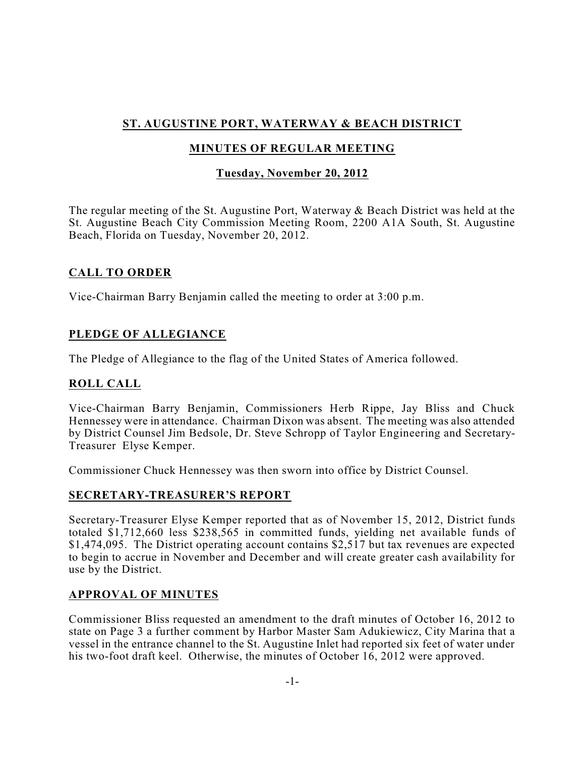# **ST. AUGUSTINE PORT, WATERWAY & BEACH DISTRICT**

# **MINUTES OF REGULAR MEETING**

# **Tuesday, November 20, 2012**

The regular meeting of the St. Augustine Port, Waterway & Beach District was held at the St. Augustine Beach City Commission Meeting Room, 2200 A1A South, St. Augustine Beach, Florida on Tuesday, November 20, 2012.

## **CALL TO ORDER**

Vice-Chairman Barry Benjamin called the meeting to order at 3:00 p.m.

# **PLEDGE OF ALLEGIANCE**

The Pledge of Allegiance to the flag of the United States of America followed.

## **ROLL CALL**

Vice-Chairman Barry Benjamin, Commissioners Herb Rippe, Jay Bliss and Chuck Hennessey were in attendance. Chairman Dixon was absent. The meeting was also attended by District Counsel Jim Bedsole, Dr. Steve Schropp of Taylor Engineering and Secretary-Treasurer Elyse Kemper.

Commissioner Chuck Hennessey was then sworn into office by District Counsel.

#### **SECRETARY-TREASURER'S REPORT**

Secretary-Treasurer Elyse Kemper reported that as of November 15, 2012, District funds totaled \$1,712,660 less \$238,565 in committed funds, yielding net available funds of \$1,474,095. The District operating account contains \$2,517 but tax revenues are expected to begin to accrue in November and December and will create greater cash availability for use by the District.

## **APPROVAL OF MINUTES**

Commissioner Bliss requested an amendment to the draft minutes of October 16, 2012 to state on Page 3 a further comment by Harbor Master Sam Adukiewicz, City Marina that a vessel in the entrance channel to the St. Augustine Inlet had reported six feet of water under his two-foot draft keel. Otherwise, the minutes of October 16, 2012 were approved.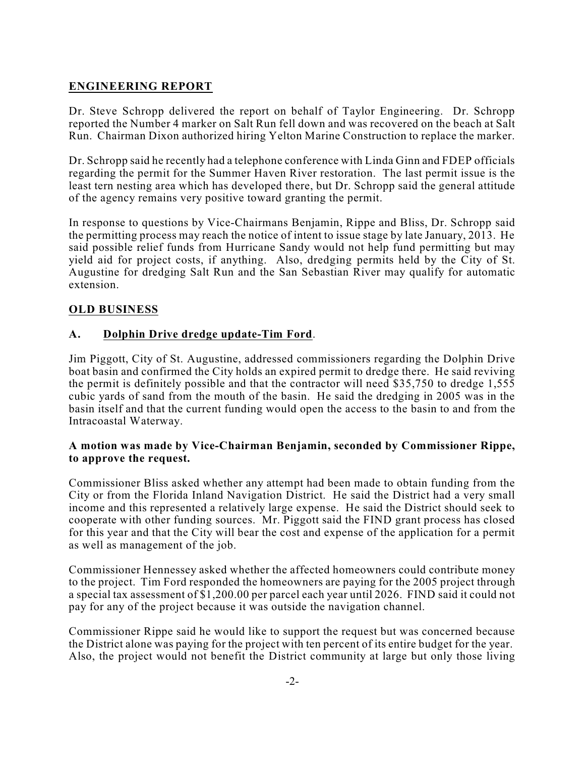# **ENGINEERING REPORT**

Dr. Steve Schropp delivered the report on behalf of Taylor Engineering. Dr. Schropp reported the Number 4 marker on Salt Run fell down and was recovered on the beach at Salt Run. Chairman Dixon authorized hiring Yelton Marine Construction to replace the marker.

Dr. Schropp said he recently had a telephone conference with Linda Ginn and FDEP officials regarding the permit for the Summer Haven River restoration. The last permit issue is the least tern nesting area which has developed there, but Dr. Schropp said the general attitude of the agency remains very positive toward granting the permit.

In response to questions by Vice-Chairmans Benjamin, Rippe and Bliss, Dr. Schropp said the permitting process may reach the notice of intent to issue stage by late January, 2013. He said possible relief funds from Hurricane Sandy would not help fund permitting but may yield aid for project costs, if anything. Also, dredging permits held by the City of St. Augustine for dredging Salt Run and the San Sebastian River may qualify for automatic extension.

#### **OLD BUSINESS**

#### **A. Dolphin Drive dredge update-Tim Ford**.

Jim Piggott, City of St. Augustine, addressed commissioners regarding the Dolphin Drive boat basin and confirmed the City holds an expired permit to dredge there. He said reviving the permit is definitely possible and that the contractor will need \$35,750 to dredge 1,555 cubic yards of sand from the mouth of the basin. He said the dredging in 2005 was in the basin itself and that the current funding would open the access to the basin to and from the Intracoastal Waterway.

#### **A motion was made by Vice-Chairman Benjamin, seconded by Commissioner Rippe, to approve the request.**

Commissioner Bliss asked whether any attempt had been made to obtain funding from the City or from the Florida Inland Navigation District. He said the District had a very small income and this represented a relatively large expense. He said the District should seek to cooperate with other funding sources. Mr. Piggott said the FIND grant process has closed for this year and that the City will bear the cost and expense of the application for a permit as well as management of the job.

Commissioner Hennessey asked whether the affected homeowners could contribute money to the project. Tim Ford responded the homeowners are paying for the 2005 project through a special tax assessment of \$1,200.00 per parcel each year until 2026. FIND said it could not pay for any of the project because it was outside the navigation channel.

Commissioner Rippe said he would like to support the request but was concerned because the District alone was paying for the project with ten percent of its entire budget for the year. Also, the project would not benefit the District community at large but only those living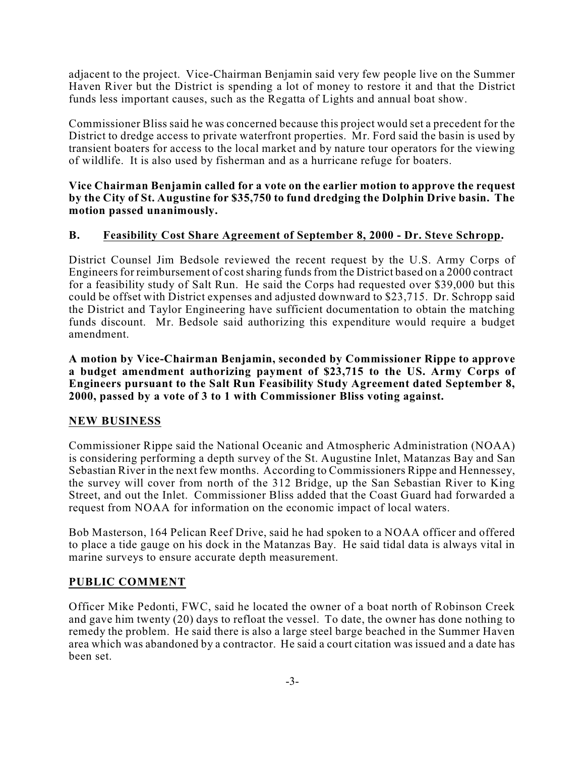adjacent to the project. Vice-Chairman Benjamin said very few people live on the Summer Haven River but the District is spending a lot of money to restore it and that the District funds less important causes, such as the Regatta of Lights and annual boat show.

Commissioner Bliss said he was concerned because this project would set a precedent for the District to dredge access to private waterfront properties. Mr. Ford said the basin is used by transient boaters for access to the local market and by nature tour operators for the viewing of wildlife. It is also used by fisherman and as a hurricane refuge for boaters.

**Vice Chairman Benjamin called for a vote on the earlier motion to approve the request by the City of St. Augustine for \$35,750 to fund dredging the Dolphin Drive basin. The motion passed unanimously.**

#### **B. Feasibility Cost Share Agreement of September 8, 2000 - Dr. Steve Schropp.**

District Counsel Jim Bedsole reviewed the recent request by the U.S. Army Corps of Engineers for reimbursement of cost sharing funds from the District based on a 2000 contract for a feasibility study of Salt Run. He said the Corps had requested over \$39,000 but this could be offset with District expenses and adjusted downward to \$23,715. Dr. Schropp said the District and Taylor Engineering have sufficient documentation to obtain the matching funds discount. Mr. Bedsole said authorizing this expenditure would require a budget amendment.

**A motion by Vice-Chairman Benjamin, seconded by Commissioner Rippe to approve a budget amendment authorizing payment of \$23,715 to the US. Army Corps of Engineers pursuant to the Salt Run Feasibility Study Agreement dated September 8, 2000, passed by a vote of 3 to 1 with Commissioner Bliss voting against.**

#### **NEW BUSINESS**

Commissioner Rippe said the National Oceanic and Atmospheric Administration (NOAA) is considering performing a depth survey of the St. Augustine Inlet, Matanzas Bay and San Sebastian River in the next few months. According to Commissioners Rippe and Hennessey, the survey will cover from north of the 312 Bridge, up the San Sebastian River to King Street, and out the Inlet. Commissioner Bliss added that the Coast Guard had forwarded a request from NOAA for information on the economic impact of local waters.

Bob Masterson, 164 Pelican Reef Drive, said he had spoken to a NOAA officer and offered to place a tide gauge on his dock in the Matanzas Bay. He said tidal data is always vital in marine surveys to ensure accurate depth measurement.

#### **PUBLIC COMMENT**

Officer Mike Pedonti, FWC, said he located the owner of a boat north of Robinson Creek and gave him twenty (20) days to refloat the vessel. To date, the owner has done nothing to remedy the problem. He said there is also a large steel barge beached in the Summer Haven area which was abandoned by a contractor. He said a court citation was issued and a date has been set.